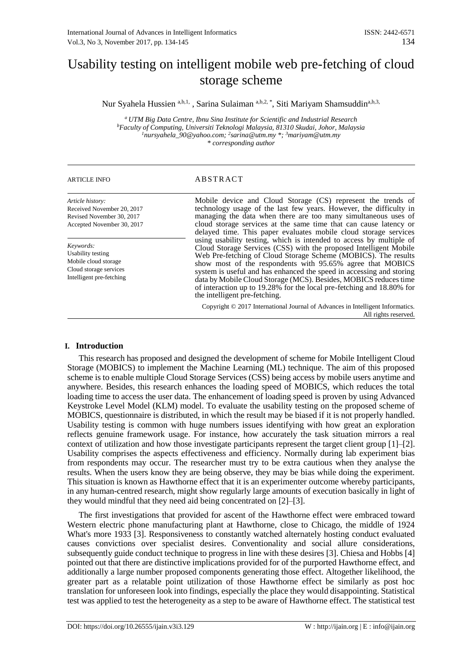# Usability testing on intelligent mobile web pre-fetching of cloud storage scheme

Nur Syahela Hussien a,b,1, , Sarina Sulaiman a,b,2, \*, Siti Mariyam Shamsuddina,b,3,

*<sup>a</sup>UTM Big Data Centre, Ibnu Sina Institute for Scientific and Industrial Research <sup>b</sup>Faculty of Computing, Universiti Teknologi Malaysia, 81310 Skudai, Johor, Malaysia <sup>1</sup>nursyahela\_90@yahoo.com; <sup>2</sup> sarina@utm.my \*; <sup>3</sup>mariyam@utm.my \* corresponding author*

### ARTICLE INFO ABSTRACT

*Article history:* Received November 20, 2017 Revised November 30, 2017 Accepted November 30, 2017

*Keywords:* Usability testing Mobile cloud storage Cloud storage services Intelligent pre-fetching Mobile device and Cloud Storage (CS) represent the trends of technology usage of the last few years. However, the difficulty in managing the data when there are too many simultaneous uses of cloud storage services at the same time that can cause latency or delayed time. This paper evaluates mobile cloud storage services using usability testing, which is intended to access by multiple of Cloud Storage Services (CSS) with the proposed Intelligent Mobile Web Pre-fetching of Cloud Storage Scheme (MOBICS). The results show most of the respondents with 95.65% agree that MOBICS system is useful and has enhanced the speed in accessing and storing data by Mobile Cloud Storage (MCS). Besides, MOBICS reduces time of interaction up to 19.28% for the local pre-fetching and 18.80% for the intelligent pre-fetching.

Copyright © 2017 International Journal of Advances in Intelligent Informatics. All rights reserved.

### **I. Introduction**

This research has proposed and designed the development of scheme for Mobile Intelligent Cloud Storage (MOBICS) to implement the Machine Learning (ML) technique. The aim of this proposed scheme is to enable multiple Cloud Storage Services (CSS) being access by mobile users anytime and anywhere. Besides, this research enhances the loading speed of MOBICS, which reduces the total loading time to access the user data. The enhancement of loading speed is proven by using Advanced Keystroke Level Model (KLM) model. To evaluate the usability testing on the proposed scheme of MOBICS, questionnaire is distributed, in which the result may be biased if it is not properly handled. Usability testing is common with huge numbers issues identifying with how great an exploration reflects genuine framework usage. For instance, how accurately the task situation mirrors a real context of utilization and how those investigate participants represent the target client group [1]–[2]. Usability comprises the aspects effectiveness and efficiency. Normally during lab experiment bias from respondents may occur. The researcher must try to be extra cautious when they analyse the results. When the users know they are being observe, they may be bias while doing the experiment. This situation is known as Hawthorne effect that it is an experimenter outcome whereby participants, in any human-centred research, might show regularly large amounts of execution basically in light of they would mindful that they need aid being concentrated on [2]–[3].

The first investigations that provided for ascent of the Hawthorne effect were embraced toward Western electric phone manufacturing plant at Hawthorne, close to Chicago, the middle of 1924 What's more 1933 [3]. Responsiveness to constantly watched alternately hosting conduct evaluated causes convictions over specialist desires. Conventionality and social allure considerations, subsequently guide conduct technique to progress in line with these desires [3]. Chiesa and Hobbs [4] pointed out that there are distinctive implications provided for of the purported Hawthorne effect, and additionally a large number proposed components generating those effect. Altogether likelihood, the greater part as a relatable point utilization of those Hawthorne effect be similarly as post hoc translation for unforeseen look into findings, especially the place they would disappointing. Statistical test was applied to test the heterogeneity as a step to be aware of Hawthorne effect. The statistical test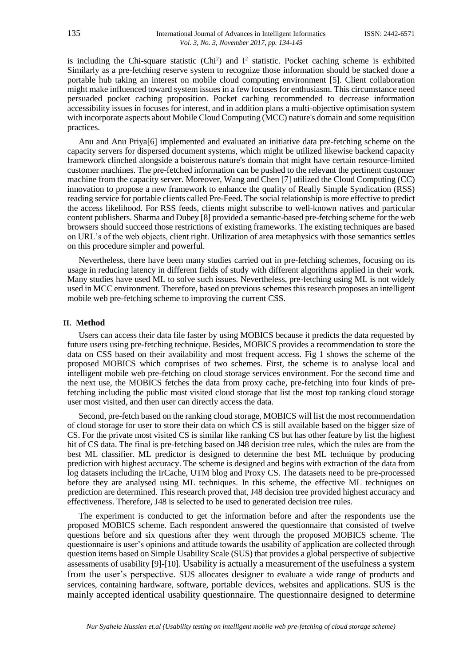is including the Chi-square statistic  $(Chi<sup>2</sup>)$  and  $I<sup>2</sup>$  statistic. Pocket caching scheme is exhibited Similarly as a pre-fetching reserve system to recognize those information should be stacked done a portable hub taking an interest on mobile cloud computing environment [5]. Client collaboration might make influenced toward system issues in a few focuses for enthusiasm. This circumstance need persuaded pocket caching proposition. Pocket caching recommended to decrease information accessibility issues in focuses for interest, and in addition plans a multi-objective optimisation system with incorporate aspects about Mobile Cloud Computing (MCC) nature's domain and some requisition practices.

Anu and Anu Priya[6] implemented and evaluated an initiative data pre-fetching scheme on the capacity servers for dispersed document systems, which might be utilized likewise backend capacity framework clinched alongside a boisterous nature's domain that might have certain resource-limited customer machines. The pre-fetched information can be pushed to the relevant the pertinent customer machine from the capacity server. Moreover, Wang and Chen [7] utilized the Cloud Computing (CC) innovation to propose a new framework to enhance the quality of Really Simple Syndication (RSS) reading service for portable clients called Pre-Feed. The social relationship is more effective to predict the access likelihood. For RSS feeds, clients might subscribe to well-known natives and particular content publishers. Sharma and Dubey [8] provided a semantic-based pre-fetching scheme for the web browsers should succeed those restrictions of existing frameworks. The existing techniques are based on URL's of the web objects, client right. Utilization of area metaphysics with those semantics settles on this procedure simpler and powerful.

Nevertheless, there have been many studies carried out in pre-fetching schemes, focusing on its usage in reducing latency in different fields of study with different algorithms applied in their work. Many studies have used ML to solve such issues. Nevertheless, pre-fetching using ML is not widely used in MCC environment. Therefore, based on previous schemes this research proposes an intelligent mobile web pre-fetching scheme to improving the current CSS.

#### **II. Method**

Users can access their data file faster by using MOBICS because it predicts the data requested by future users using pre-fetching technique. Besides, MOBICS provides a recommendation to store the data on CSS based on their availability and most frequent access. Fig 1 shows the scheme of the proposed MOBICS which comprises of two schemes. First, the scheme is to analyse local and intelligent mobile web pre-fetching on cloud storage services environment. For the second time and the next use, the MOBICS fetches the data from proxy cache, pre-fetching into four kinds of prefetching including the public most visited cloud storage that list the most top ranking cloud storage user most visited, and then user can directly access the data.

Second, pre-fetch based on the ranking cloud storage, MOBICS will list the most recommendation of cloud storage for user to store their data on which CS is still available based on the bigger size of CS. For the private most visited CS is similar like ranking CS but has other feature by list the highest hit of CS data. The final is pre-fetching based on J48 decision tree rules, which the rules are from the best ML classifier. ML predictor is designed to determine the best ML technique by producing prediction with highest accuracy. The scheme is designed and begins with extraction of the data from log datasets including the IrCache, UTM blog and Proxy CS. The datasets need to be pre-processed before they are analysed using ML techniques. In this scheme, the effective ML techniques on prediction are determined. This research proved that, J48 decision tree provided highest accuracy and effectiveness. Therefore, J48 is selected to be used to generated decision tree rules.

The experiment is conducted to get the information before and after the respondents use the proposed MOBICS scheme. Each respondent answered the questionnaire that consisted of twelve questions before and six questions after they went through the proposed MOBICS scheme. The questionnaire is user's opinions and attitude towards the usability of application are collected through question items based on Simple Usability Scale (SUS) that provides a global perspective of subjective assessments of usability [9]-[10]. Usability is actually a measurement of the usefulness a system from the user's perspective. SUS allocates designer to evaluate a wide range of products and services, containing hardware, software, portable devices, websites and applications. SUS is the mainly accepted identical usability questionnaire. The questionnaire designed to determine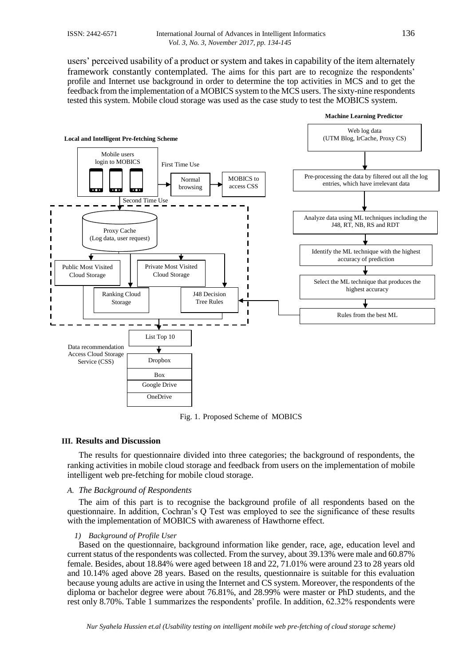users' perceived usability of a product or system and takes in capability of the item alternately framework constantly contemplated. The aims for this part are to recognize the respondents' profile and Internet use background in order to determine the top activities in MCS and to get the feedback from the implementation of a MOBICS system to the MCS users. The sixty-nine respondents tested this system. Mobile cloud storage was used as the case study to test the MOBICS system.



Fig. 1. Proposed Scheme of MOBICS

### **III. Results and Discussion**

The results for questionnaire divided into three categories; the background of respondents, the ranking activities in mobile cloud storage and feedback from users on the implementation of mobile intelligent web pre-fetching for mobile cloud storage.

### *A. The Background of Respondents*

The aim of this part is to recognise the background profile of all respondents based on the questionnaire. In addition, Cochran's Q Test was employed to see the significance of these results with the implementation of MOBICS with awareness of Hawthorne effect.

### *1) Background of Profile User*

Based on the questionnaire, background information like gender, race, age, education level and current status of the respondents was collected. From the survey, about 39.13% were male and 60.87% female. Besides, about 18.84% were aged between 18 and 22, 71.01% were around 23 to 28 years old and 10.14% aged above 28 years. Based on the results, questionnaire is suitable for this evaluation because young adults are active in using the Internet and CS system. Moreover, the respondents of the diploma or bachelor degree were about 76.81%, and 28.99% were master or PhD students, and the rest only 8.70%. Table 1 summarizes the respondents' profile. In addition, 62.32% respondents were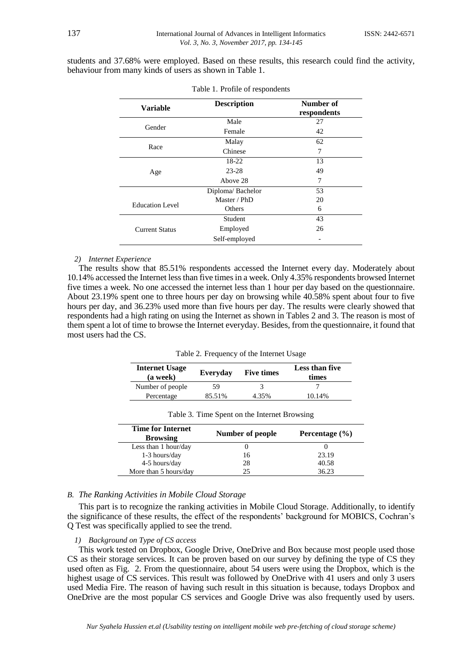students and 37.68% were employed. Based on these results, this research could find the activity, behaviour from many kinds of users as shown in Table 1.

| <b>Variable</b>        | <b>Description</b> | Number of<br>respondents |
|------------------------|--------------------|--------------------------|
|                        | Male               | 27                       |
| Gender                 | Female             | 42                       |
|                        | Malay              | 62                       |
| Race                   | Chinese            | 7                        |
|                        | 18-22              | 13                       |
| Age                    | $23 - 28$          | 49                       |
|                        | Above 28           | 7                        |
|                        | Diploma/Bachelor   | 53                       |
| <b>Education Level</b> | Master / PhD       | 20                       |
|                        | Others             | 6                        |
|                        | Student            | 43                       |
| <b>Current Status</b>  | Employed           | 26                       |
|                        | Self-employed      |                          |

| Table 1. Profile of respondents |  |
|---------------------------------|--|
|---------------------------------|--|

### *2) Internet Experience*

The results show that 85.51% respondents accessed the Internet every day. Moderately about 10.14% accessed the Internet less than five times in a week. Only 4.35% respondents browsed Internet five times a week. No one accessed the internet less than 1 hour per day based on the questionnaire. About 23.19% spent one to three hours per day on browsing while 40.58% spent about four to five hours per day, and 36.23% used more than five hours per day. The results were clearly showed that respondents had a high rating on using the Internet as shown in Tables 2 and 3. The reason is most of them spent a lot of time to browse the Internet everyday. Besides, from the questionnaire, it found that most users had the CS.

Table 2. Frequency of the Internet Usage

| <b>Internet Usage</b><br>(a week) | Everyday | <b>Five times</b> | Less than five<br>times |
|-----------------------------------|----------|-------------------|-------------------------|
| Number of people                  | 59       |                   |                         |
| Percentage                        | 85.51%   | 4.35%             | 10.14%                  |

| <b>Time for Internet</b><br><b>Browsing</b> | Number of people | Percentage $(\% )$ |
|---------------------------------------------|------------------|--------------------|
| Less than 1 hour/day                        |                  |                    |
| 1-3 hours/day                               | 16               | 23.19              |
| 4-5 hours/day                               | 28               | 40.58              |
| More than 5 hours/day                       |                  | 36.23              |

Table 3. Time Spent on the Internet Browsing

### *B. The Ranking Activities in Mobile Cloud Storage*

This part is to recognize the ranking activities in Mobile Cloud Storage. Additionally, to identify the significance of these results, the effect of the respondents' background for MOBICS, Cochran's Q Test was specifically applied to see the trend.

## *1) Background on Type of CS access*

This work tested on Dropbox, Google Drive, OneDrive and Box because most people used those CS as their storage services. It can be proven based on our survey by defining the type of CS they used often as Fig. 2. From the questionnaire, about 54 users were using the Dropbox, which is the highest usage of CS services. This result was followed by OneDrive with 41 users and only 3 users used Media Fire. The reason of having such result in this situation is because, todays Dropbox and OneDrive are the most popular CS services and Google Drive was also frequently used by users.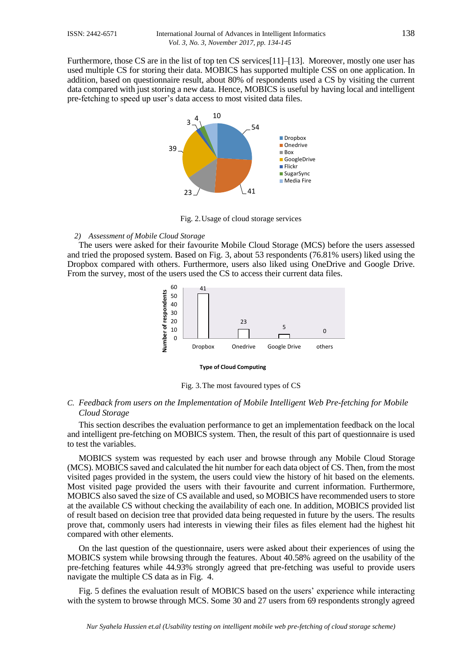Furthermore, those CS are in the list of top ten CS services[11]–[13]. Moreover, mostly one user has used multiple CS for storing their data. MOBICS has supported multiple CSS on one application. In addition, based on questionnaire result, about 80% of respondents used a CS by visiting the current data compared with just storing a new data. Hence, MOBICS is useful by having local and intelligent pre-fetching to speed up user's data access to most visited data files.



Fig. 2.Usage of cloud storage services

### *2) Assessment of Mobile Cloud Storage*

The users were asked for their favourite Mobile Cloud Storage (MCS) before the users assessed and tried the proposed system. Based on Fig. 3, about 53 respondents (76.81% users) liked using the Dropbox compared with others. Furthermore, users also liked using OneDrive and Google Drive. From the survey, most of the users used the CS to access their current data files.



#### **Type of Cloud Computing**

Fig. 3.The most favoured types of CS

### *C. Feedback from users on the Implementation of Mobile Intelligent Web Pre-fetching for Mobile Cloud Storage*

This section describes the evaluation performance to get an implementation feedback on the local and intelligent pre-fetching on MOBICS system. Then, the result of this part of questionnaire is used to test the variables.

MOBICS system was requested by each user and browse through any Mobile Cloud Storage (MCS). MOBICS saved and calculated the hit number for each data object of CS. Then, from the most visited pages provided in the system, the users could view the history of hit based on the elements. Most visited page provided the users with their favourite and current information. Furthermore, MOBICS also saved the size of CS available and used, so MOBICS have recommended users to store at the available CS without checking the availability of each one. In addition, MOBICS provided list of result based on decision tree that provided data being requested in future by the users. The results prove that, commonly users had interests in viewing their files as files element had the highest hit compared with other elements.

On the last question of the questionnaire, users were asked about their experiences of using the MOBICS system while browsing through the features. About 40.58% agreed on the usability of the pre-fetching features while 44.93% strongly agreed that pre-fetching was useful to provide users navigate the multiple CS data as in Fig. 4.

Fig. 5 defines the evaluation result of MOBICS based on the users' experience while interacting with the system to browse through MCS. Some 30 and 27 users from 69 respondents strongly agreed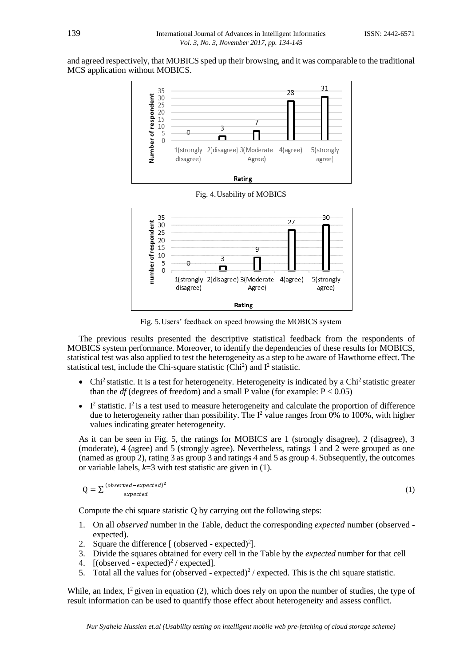and agreed respectively, that MOBICS sped up their browsing, and it was comparable to the traditional MCS application without MOBICS.



Fig. 5.Users' feedback on speed browsing the MOBICS system

The previous results presented the descriptive statistical feedback from the respondents of MOBICS system performance. Moreover, to identify the dependencies of these results for MOBICS, statistical test was also applied to test the heterogeneity as a step to be aware of Hawthorne effect. The statistical test, include the Chi-square statistic  $(Chi<sup>2</sup>)$  and  $I<sup>2</sup>$  statistic.

- $\bullet$  Chi<sup>2</sup> statistic. It is a test for heterogeneity. Heterogeneity is indicated by a Chi<sup>2</sup> statistic greater than the  $df$  (degrees of freedom) and a small P value (for example:  $P < 0.05$ )
- $\bullet$  I<sup>2</sup> statistic. I<sup>2</sup> is a test used to measure heterogeneity and calculate the proportion of difference due to heterogeneity rather than possibility. The  $I^2$  value ranges from 0% to 100%, with higher values indicating greater heterogeneity.

As it can be seen in Fig. 5, the ratings for MOBICS are 1 (strongly disagree), 2 (disagree), 3 (moderate), 4 (agree) and 5 (strongly agree). Nevertheless, ratings 1 and 2 were grouped as one (named as group 2), rating 3 as group 3 and ratings 4 and 5 as group 4. Subsequently, the outcomes or variable labels, *k*=3 with test statistic are given in (1).

$$
Q = \sum \frac{(observed-expected)^2}{expected}
$$

(1)

Compute the chi square statistic Q by carrying out the following steps:

- 1. On all *observed* number in the Table, deduct the corresponding *expected* number (observed expected).
- 2. Square the difference  $[$  (observed expected) $^{2}$ ].
- 3. Divide the squares obtained for every cell in the Table by the *expected* number for that cell
- 4. [(observed expected)<sup>2</sup> / expected].
- 5. Total all the values for (observed expected)<sup>2</sup> / expected. This is the chi square statistic.

While, an Index,  $I^2$  given in equation (2), which does rely on upon the number of studies, the type of result information can be used to quantify those effect about heterogeneity and assess conflict.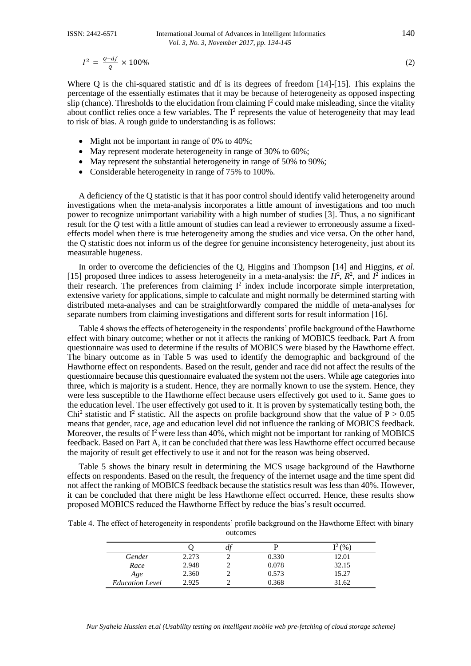$$
I^2 = \frac{Q - df}{Q} \times 100\% \tag{2}
$$

Where Q is the chi-squared statistic and df is its degrees of freedom [14]-[15]. This explains the percentage of the essentially estimates that it may be because of heterogeneity as opposed inspecting slip (chance). Thresholds to the elucidation from claiming  $I^2$  could make misleading, since the vitality about conflict relies once a few variables. The  $I^2$  represents the value of heterogeneity that may lead to risk of bias. A rough guide to understanding is as follows:

- Might not be important in range of 0% to 40%;
- May represent moderate heterogeneity in range of 30% to 60%;
- May represent the substantial heterogeneity in range of 50% to 90%;
- Considerable heterogeneity in range of 75% to 100%.

A deficiency of the Q statistic is that it has poor control should identify valid heterogeneity around investigations when the meta-analysis incorporates a little amount of investigations and too much power to recognize unimportant variability with a high number of studies [3]. Thus, a no significant result for the *Q* test with a little amount of studies can lead a reviewer to erroneously assume a fixedeffects model when there is true heterogeneity among the studies and vice versa. On the other hand, the Q statistic does not inform us of the degree for genuine inconsistency heterogeneity, just about its measurable hugeness.

In order to overcome the deficiencies of the Q*,* Higgins and Thompson [14] and Higgins, *et al*. [15] proposed three indices to assess heterogeneity in a meta-analysis: the  $H^2$ ,  $R^2$ , and  $I^2$  indices in their research. The preferences from claiming  $I^2$  index include incorporate simple interpretation, extensive variety for applications, simple to calculate and might normally be determined starting with distributed meta-analyses and can be straightforwardly compared the middle of meta-analyses for separate numbers from claiming investigations and different sorts for result information [16].

Table 4 shows the effects of heterogeneity in the respondents' profile background of the Hawthorne effect with binary outcome; whether or not it affects the ranking of MOBICS feedback. Part A from questionnaire was used to determine if the results of MOBICS were biased by the Hawthorne effect. The binary outcome as in Table 5 was used to identify the demographic and background of the Hawthorne effect on respondents. Based on the result, gender and race did not affect the results of the questionnaire because this questionnaire evaluated the system not the users. While age categories into three, which is majority is a student. Hence, they are normally known to use the system. Hence, they were less susceptible to the Hawthorne effect because users effectively got used to it. Same goes to the education level. The user effectively got used to it. It is proven by systematically testing both, the Chi<sup>2</sup> statistic and I<sup>2</sup> statistic. All the aspects on profile background show that the value of  $P > 0.05$ means that gender, race, age and education level did not influence the ranking of MOBICS feedback. Moreover, the results of  $I<sup>2</sup>$  were less than 40%, which might not be important for ranking of MOBICS feedback. Based on Part A, it can be concluded that there was less Hawthorne effect occurred because the majority of result get effectively to use it and not for the reason was being observed.

Table 5 shows the binary result in determining the MCS usage background of the Hawthorne effects on respondents. Based on the result, the frequency of the internet usage and the time spent did not affect the ranking of MOBICS feedback because the statistics result was less than 40%. However, it can be concluded that there might be less Hawthorne effect occurred. Hence, these results show proposed MOBICS reduced the Hawthorne Effect by reduce the bias's result occurred.

Table 4. The effect of heterogeneity in respondents' profile background on the Hawthorne Effect with binary outcomes

|                        |       | u. |       | $\frac{1}{2}$<br>∼ |
|------------------------|-------|----|-------|--------------------|
| Gender                 | 2.273 |    | 0.330 | 12.01              |
| Race                   | 2.948 |    | 0.078 | 32.15              |
| Age                    | 2.360 |    | 0.573 | 15.27              |
| <b>Education Level</b> | 2.925 |    | 0.368 | 31.62              |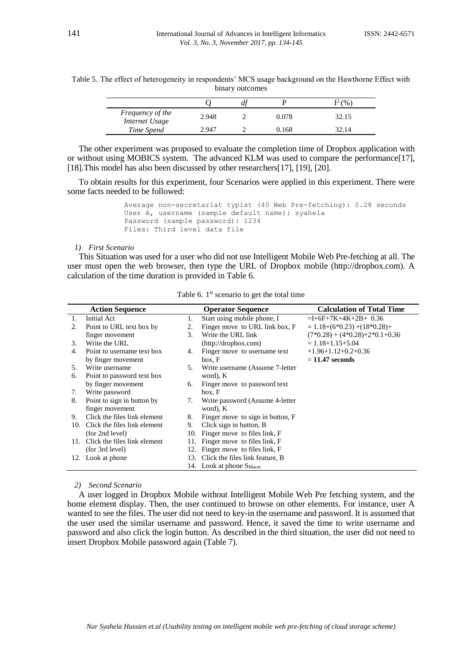|  |  |                 |  | Table 5. The effect of heterogeneity in respondents' MCS usage background on the Hawthorne Effect with |  |
|--|--|-----------------|--|--------------------------------------------------------------------------------------------------------|--|
|  |  | binary outcomes |  |                                                                                                        |  |
|  |  |                 |  |                                                                                                        |  |

|                                    |       |       | $^{\circ}$ (%) |
|------------------------------------|-------|-------|----------------|
| Frequency of the<br>Internet Usage | 2.948 | 0.078 | 32.15          |
| Time Spend                         | 2.947 | 168.  |                |

The other experiment was proposed to evaluate the completion time of Dropbox application with or without using MOBICS system. The advanced KLM was used to compare the performance[17], [18].This model has also been discussed by other researchers[17], [19], [20].

To obtain results for this experiment, four Scenarios were applied in this experiment. There were some facts needed to be followed:

> Average non-secretariat typist (40 Web Pre-fetching): 0.28 seconds User A, username (sample default name): syahela Password (sample password): 1234 Files: Third level data file

### *1) First Scenario*

This Situation was used for a user who did not use Intelligent Mobile Web Pre-fetching at all. The user must open the web browser, then type the URL of Dropbox mobile (http://dropbox.com). A calculation of the time duration is provided in Table 6.

|     | <b>Action Sequence</b>       |     | <b>Operator Sequence</b>             | <b>Calculation of Total Time</b>     |
|-----|------------------------------|-----|--------------------------------------|--------------------------------------|
| 1.  | Initial Act                  | 1.  | Start using mobile phone, I          | $=$ I+6F+7K+4K+2B+ 0.36              |
| 2.  | Point to URL text box by     | 2.  | Finger move to URL link box, F       | $= 1.18+(6*0.23)+(18*0.28)+$         |
|     | finger movement              | 3.  | Write the URL link                   | $(7*0.28) + (4*0.28) + 2*0.1 + 0.36$ |
| 3.  | Write the URL                |     | (http://dropbox.com)                 | $= 1.18 + 1.15 + 5.04$               |
| 4.  | Point to username text box   | 4.  | Finger move to username text         | $+1.96 + 1.12 + 0.2 + 0.36$          |
|     | by finger movement           |     | box, F                               | $= 11.47$ seconds                    |
| 5.  | Write username               | 5.  | Write username (Assume 7-letter      |                                      |
| 6.  | Point to password text box   |     | word), K                             |                                      |
|     | by finger movement           | 6.  | Finger move to password text         |                                      |
| 7.  | Write password               |     | box, F                               |                                      |
| 8.  | Point to sign in button by   | 7.  | Write password (Assume 4-letter      |                                      |
|     | finger movement              |     | word), K                             |                                      |
| 9.  | Click the files link element | 8.  | Finger move to sign in button, F     |                                      |
| 10. | Click the files link element | 9.  | Click sign in button, B              |                                      |
|     | (for 2nd level)              | 10. | Finger move to files link, F         |                                      |
| 11. | Click the files link element | 11. | Finger move to files link, F         |                                      |
|     | (for 3rd level)              | 12. | Finger move to files link, F         |                                      |
|     | 12. Look at phone            |     | 13. Click the files link feature, B  |                                      |
|     |                              |     | 14. Look at phone $S_{\text{Macro}}$ |                                      |

Table 6. 1<sup>st</sup> scenario to get the total time

*2) Second Scenario*

A user logged in Dropbox Mobile without Intelligent Mobile Web Pre fetching system, and the home element display. Then, the user continued to browse on other elements. For instance, user A wanted to see the files. The user did not need to key-in the username and password. It is assumed that the user used the similar username and password. Hence, it saved the time to write username and password and also click the login button. As described in the third situation, the user did not need to insert Dropbox Mobile password again (Table 7).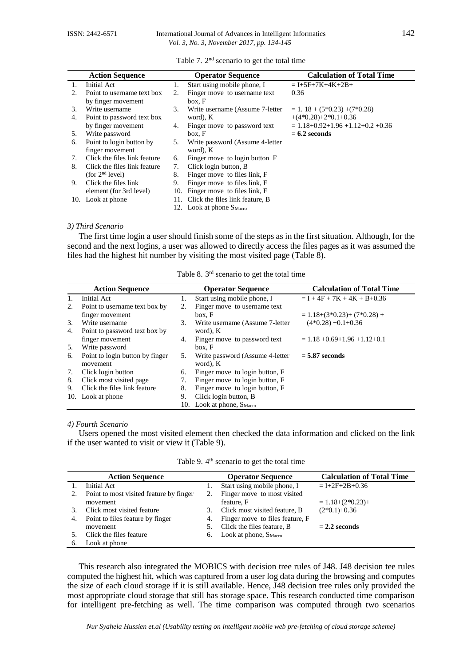|         | <b>Action Sequence</b>       |    | <b>Operator Sequence</b>             | <b>Calculation of Total Time</b>           |
|---------|------------------------------|----|--------------------------------------|--------------------------------------------|
| 1.      | Initial Act                  | 1. | Start using mobile phone, I          | $= I+5F+7K+4K+2B+$                         |
| $2_{-}$ | Point to username text box   | 2. | Finger move to username text         | 0.36                                       |
|         | by finger movement           |    | box. F                               |                                            |
| 3.      | Write username               | 3. | Write username (Assume 7-letter      | $= 1.18 + (5*0.23) + (7*0.28)$             |
| 4.      | Point to password text box   |    | word), K                             | $+(4*0.28)+2*0.1+0.36$                     |
|         | by finger movement           | 4. | Finger move to password text         | $= 1.18 + 0.92 + 1.96 + 1.12 + 0.2 + 0.36$ |
| 5.      | Write password               |    | box, F                               | $= 6.2$ seconds                            |
| 6.      | Point to login button by     | 5. | Write password (Assume 4-letter      |                                            |
|         | finger movement              |    | word), K                             |                                            |
| 7.      | Click the files link feature | 6. | Finger move to login button F        |                                            |
| 8.      | Click the files link feature | 7. | Click login button, B                |                                            |
|         | (for 2 <sup>nd</sup> level)  | 8. | Finger move to files link, F         |                                            |
| 9.      | Click the files link         | 9. | Finger move to files link, F         |                                            |
|         | element (for 3rd level)      |    | 10. Finger move to files link, F     |                                            |
| 10.     | Look at phone                |    | 11. Click the files link feature, B  |                                            |
|         |                              |    | 12. Look at phone S <sub>Macro</sub> |                                            |

|  | Table 7. 2 <sup>nd</sup> scenario to get the total time |  |  |
|--|---------------------------------------------------------|--|--|
|--|---------------------------------------------------------|--|--|

### *3) Third Scenario*

The first time login a user should finish some of the steps as in the first situation. Although, for the second and the next logins, a user was allowed to directly access the files pages as it was assumed the files had the highest hit number by visiting the most visited page (Table  $\hat{8}$ ).

|    | <b>Action Sequence</b>          |    | <b>Operator Sequence</b>              | <b>Calculation of Total Time</b>    |
|----|---------------------------------|----|---------------------------------------|-------------------------------------|
| 1. | Initial Act                     | 1. | Start using mobile phone, I           | $= I + 4F + 7K + 4K + B + 0.36$     |
| 2. | Point to username text box by   | 2. | Finger move to username text          |                                     |
|    | finger movement                 |    | box, F                                | $= 1.18 + (3*0.23) + (7*0.28) +$    |
| 3. | Write username                  | 3. | Write username (Assume 7-letter       | $(4*0.28) +0.1+0.36$                |
| 4. | Point to password text box by   |    | word), K                              |                                     |
|    | finger movement                 | 4. | Finger move to password text          | $= 1.18 + 0.69 + 1.96 + 1.12 + 0.1$ |
| 5. | Write password                  |    | box, F                                |                                     |
| 6. | Point to login button by finger | 5. | Write password (Assume 4-letter       | $= 5.87$ seconds                    |
|    | movement                        |    | word), K                              |                                     |
| 7. | Click login button              | 6. | Finger move to login button, F        |                                     |
| 8. | Click most visited page         | 7. | Finger move to login button, F        |                                     |
| 9. | Click the files link feature    | 8. | Finger move to login button, F        |                                     |
|    | 10. Look at phone               | 9. | Click login button, B                 |                                     |
|    |                                 |    | 10. Look at phone, S <sub>Macro</sub> |                                     |

Table 8. 3 rd scenario to get the total time

### *4) Fourth Scenario*

Users opened the most visited element then checked the data information and clicked on the link if the user wanted to visit or view it (Table 9).

Table 9. 4<sup>th</sup> scenario to get the total time

|    | <b>Action Sequence</b>                  |    | <b>Operator Sequence</b>           | <b>Calculation of Total Time</b> |
|----|-----------------------------------------|----|------------------------------------|----------------------------------|
|    | Initial Act                             |    | Start using mobile phone, I        | $= I + 2F + 2B + 0.36$           |
| 2. | Point to most visited feature by finger | 2. | Finger move to most visited        |                                  |
|    | movement                                |    | feature, F                         | $= 1.18 + (2*0.23) +$            |
|    | Click most visited feature              | 3. | Click most visited feature, B      | $(2*0.1)+0.36$                   |
| 4. | Point to files feature by finger        |    | 4. Finger move to files feature, F |                                  |
|    | movement                                |    | Click the files feature, B         | $= 2.2$ seconds                  |
|    | Click the files feature                 | 6. | Look at phone, S <sub>Macro</sub>  |                                  |
| 6. | Look at phone                           |    |                                    |                                  |

This research also integrated the MOBICS with decision tree rules of J48. J48 decision tee rules computed the highest hit, which was captured from a user log data during the browsing and computes the size of each cloud storage if it is still available. Hence, J48 decision tree rules only provided the most appropriate cloud storage that still has storage space. This research conducted time comparison for intelligent pre-fetching as well. The time comparison was computed through two scenarios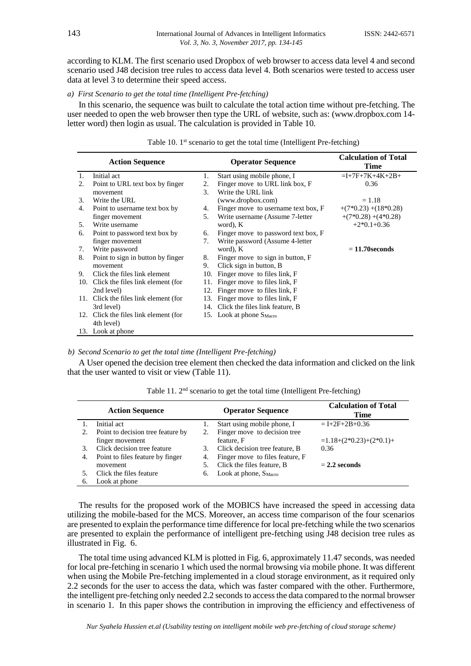according to KLM. The first scenario used Dropbox of web browser to access data level 4 and second scenario used J48 decision tree rules to access data level 4. Both scenarios were tested to access user data at level 3 to determine their speed access.

### *a) First Scenario to get the total time (Intelligent Pre-fetching)*

In this scenario, the sequence was built to calculate the total action time without pre-fetching. The user needed to open the web browser then type the URL of website, such as: (www.dropbox.com 14 letter word) then login as usual. The calculation is provided in Table 10.

|    | <b>Action Sequence</b>                |                | <b>Operator Sequence</b>             | <b>Calculation of Total</b><br>Time |
|----|---------------------------------------|----------------|--------------------------------------|-------------------------------------|
| 1. | Initial act                           | 1.             | Start using mobile phone, I          | $=I+7F+7K+4K+2B+$                   |
| 2. | Point to URL text box by finger       | 2.             | Finger move to URL link box, F       | 0.36                                |
|    | movement                              | 3 <sub>1</sub> | Write the URL link                   |                                     |
| 3. | Write the URL                         |                | (www.dropbox.com)                    | $= 1.18$                            |
| 4. | Point to username text box by         | 4.             | Finger move to username text box, F  | $+(7*0.23)+(18*0.28)$               |
|    | finger movement                       | 5.             | Write username (Assume 7-letter      | $+(7*0.28)+(4*0.28)$                |
| 5. | Write username                        |                | word), K                             | $+2*0.1+0.36$                       |
| 6. | Point to password text box by         | 6.             | Finger move to password text box, F  |                                     |
|    | finger movement                       | 7.             | Write password (Assume 4-letter      |                                     |
| 7. | Write password                        |                | word), K                             | $= 11.70$ seconds                   |
| 8. | Point to sign in button by finger     | 8.             | Finger move to sign in button, F     |                                     |
|    | movement                              | 9.             | Click sign in button, B              |                                     |
| 9. | Click the files link element          |                | 10. Finger move to files link, F     |                                     |
|    | 10. Click the files link element (for |                | 11. Finger move to files link, F     |                                     |
|    | 2nd level)                            |                | 12. Finger move to files link, F     |                                     |
|    | 11. Click the files link element (for |                | 13. Finger move to files link, F     |                                     |
|    | 3rd level)                            |                | 14. Click the files link feature, B  |                                     |
|    | 12. Click the files link element (for |                | 15. Look at phone S <sub>Macro</sub> |                                     |
|    | 4th level)                            |                |                                      |                                     |
|    | 13. Look at phone                     |                |                                      |                                     |

### Table 10. 1<sup>st</sup> scenario to get the total time (Intelligent Pre-fetching)

### *b) Second Scenario to get the total time (Intelligent Pre-fetching)*

A User opened the decision tree element then checked the data information and clicked on the link that the user wanted to visit or view (Table 11).

|    | <b>Action Sequence</b>            |    | <b>Operator Sequence</b>          | <b>Calculation of Total</b><br>Time |
|----|-----------------------------------|----|-----------------------------------|-------------------------------------|
|    | Initial act                       |    | Start using mobile phone, I       | $= I + 2F + 2B + 0.36$              |
| 2. | Point to decision tree feature by |    | Finger move to decision tree      |                                     |
|    | finger movement                   |    | feature, F                        | $=1.18+(2*0.23)+(2*0.1)+$           |
| 3. | Click decision tree feature       | 3. | Click decision tree feature, B    | 0.36                                |
| 4. | Point to files feature by finger  | 4. | Finger move to files feature, F   |                                     |
|    | movement                          |    | Click the files feature, B        | $= 2.2$ seconds                     |
|    | Click the files feature           | 6. | Look at phone, S <sub>Macro</sub> |                                     |
| 6. | Look at phone                     |    |                                   |                                     |

Table 11. 2<sup>nd</sup> scenario to get the total time (Intelligent Pre-fetching)

The results for the proposed work of the MOBICS have increased the speed in accessing data utilizing the mobile-based for the MCS. Moreover, an access time comparison of the four scenarios are presented to explain the performance time difference for local pre-fetching while the two scenarios are presented to explain the performance of intelligent pre-fetching using J48 decision tree rules as illustrated in Fig. 6.

The total time using advanced KLM is plotted in Fig. 6, approximately 11.47 seconds, was needed for local pre-fetching in scenario 1 which used the normal browsing via mobile phone. It was different when using the Mobile Pre-fetching implemented in a cloud storage environment, as it required only 2.2 seconds for the user to access the data, which was faster compared with the other. Furthermore, the intelligent pre-fetching only needed 2.2 seconds to access the data compared to the normal browser in scenario 1. In this paper shows the contribution in improving the efficiency and effectiveness of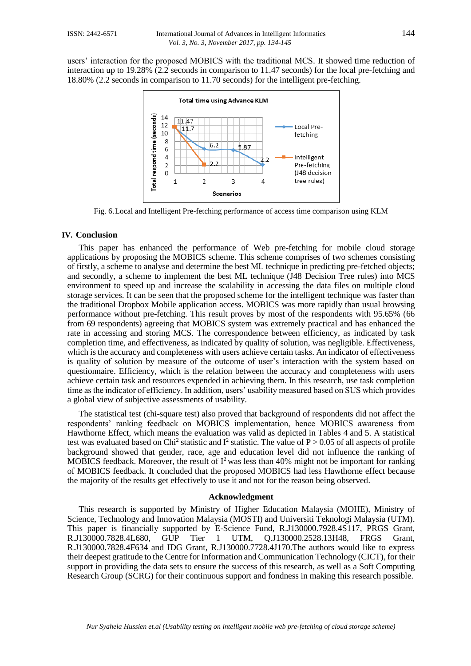users' interaction for the proposed MOBICS with the traditional MCS. It showed time reduction of interaction up to 19.28% (2.2 seconds in comparison to 11.47 seconds) for the local pre-fetching and 18.80% (2.2 seconds in comparison to 11.70 seconds) for the intelligent pre-fetching.



Fig. 6.Local and Intelligent Pre-fetching performance of access time comparison using KLM

### **IV. Conclusion**

This paper has enhanced the performance of Web pre-fetching for mobile cloud storage applications by proposing the MOBICS scheme. This scheme comprises of two schemes consisting of firstly, a scheme to analyse and determine the best ML technique in predicting pre-fetched objects; and secondly, a scheme to implement the best ML technique (J48 Decision Tree rules) into MCS environment to speed up and increase the scalability in accessing the data files on multiple cloud storage services. It can be seen that the proposed scheme for the intelligent technique was faster than the traditional Dropbox Mobile application access. MOBICS was more rapidly than usual browsing performance without pre-fetching. This result proves by most of the respondents with 95.65% (66 from 69 respondents) agreeing that MOBICS system was extremely practical and has enhanced the rate in accessing and storing MCS. The correspondence between efficiency, as indicated by task completion time, and effectiveness, as indicated by quality of solution, was negligible. Effectiveness, which is the accuracy and completeness with users achieve certain tasks. An indicator of effectiveness is quality of solution by measure of the outcome of user's interaction with the system based on questionnaire. Efficiency, which is the relation between the accuracy and completeness with users achieve certain task and resources expended in achieving them. In this research, use task completion time as the indicator of efficiency. In addition, users' usability measured based on SUS which provides a global view of subjective assessments of usability.

The statistical test (chi-square test) also proved that background of respondents did not affect the respondents' ranking feedback on MOBICS implementation, hence MOBICS awareness from Hawthorne Effect, which means the evaluation was valid as depicted in Tables 4 and 5. A statistical test was evaluated based on Chi<sup>2</sup> statistic and  $I^2$  statistic. The value of P > 0.05 of all aspects of profile background showed that gender, race, age and education level did not influence the ranking of MOBICS feedback. Moreover, the result of  $I^2$  was less than 40% might not be important for ranking of MOBICS feedback. It concluded that the proposed MOBICS had less Hawthorne effect because the majority of the results get effectively to use it and not for the reason being observed.

### **Acknowledgment**

This research is supported by Ministry of Higher Education Malaysia (MOHE), Ministry of Science, Technology and Innovation Malaysia (MOSTI) and Universiti Teknologi Malaysia (UTM). This paper is financially supported by E-Science Fund, R.J130000.7928.4S117, PRGS Grant, R.J130000.7828.4L680, GUP Tier 1 UTM, Q.J130000.2528.13H48, FRGS Grant, R.J130000.7828.4F634 and IDG Grant, R.J130000.7728.4J170.The authors would like to express their deepest gratitude to the Centre for Information and Communication Technology (CICT), for their support in providing the data sets to ensure the success of this research, as well as a Soft Computing Research Group (SCRG) for their continuous support and fondness in making this research possible.